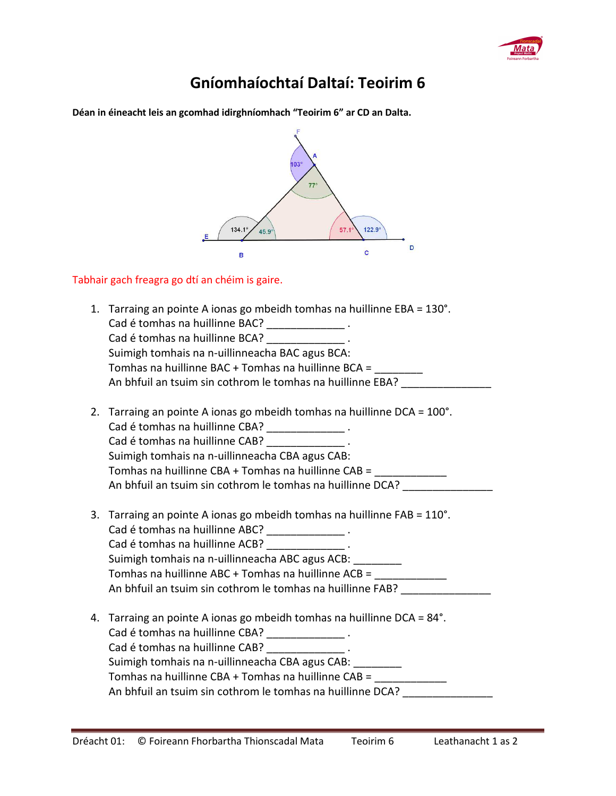

and a

## **Gníomhaíochtaí Daltaí: Teoirim 6**

**Déan in éineacht leis an gcomhad idirghníomhach "Teoirim 6" ar CD an Dalta.** 

| $103^\circ$<br>$77^\circ$<br>$122.9^\circ$<br>134.1<br>57.1<br>45.9<br>D<br>$\mathbf{C}$<br>В                                                                                                                                                                                                                                                                    |
|------------------------------------------------------------------------------------------------------------------------------------------------------------------------------------------------------------------------------------------------------------------------------------------------------------------------------------------------------------------|
| Tabhair gach freagra go dtí an chéim is gaire.                                                                                                                                                                                                                                                                                                                   |
| 1. Tarraing an pointe A ionas go mbeidh tomhas na huillinne EBA = 130°.<br>Cad é tomhas na huillinne BAC? _________________.<br>Cad é tomhas na huillinne BCA? [198] [198] .<br>Suimigh tomhais na n-uillinneacha BAC agus BCA:<br>Tomhas na huillinne BAC + Tomhas na huillinne BCA = ________<br>An bhfuil an tsuim sin cothrom le tomhas na huillinne EBA?    |
| 2. Tarraing an pointe A ionas go mbeidh tomhas na huillinne DCA = 100°.<br>Cad é tomhas na huillinne CBA? _______________.<br>Cad é tomhas na huillinne CAB?<br>Suimigh tomhais na n-uillinneacha CBA agus CAB:<br>Tomhas na huillinne CBA + Tomhas na huillinne CAB =<br>An bhfuil an tsuim sin cothrom le tomhas na huillinne DCA?                             |
| 3. Tarraing an pointe A ionas go mbeidh tomhas na huillinne FAB = 110°.<br>Cad é tomhas na huillinne ABC? ______________.<br>Cad é tomhas na huillinne ACB? ________________<br>Suimigh tomhais na n-uillinneacha ABC agus ACB:<br>Tomhas na huillinne ABC + Tomhas na huillinne ACB =<br>An bhfuil an tsuim sin cothrom le tomhas na huillinne FAB?             |
| 4. Tarraing an pointe A ionas go mbeidh tomhas na huillinne DCA = 84°.<br>Cad é tomhas na huillinne CBA? _______________.<br>Cad é tomhas na huillinne CAB? ______________.<br>Suimigh tomhais na n-uillinneacha CBA agus CAB:<br>Tomhas na huillinne CBA + Tomhas na huillinne CAB = ____________<br>An bhfuil an tsuim sin cothrom le tomhas na huillinne DCA? |